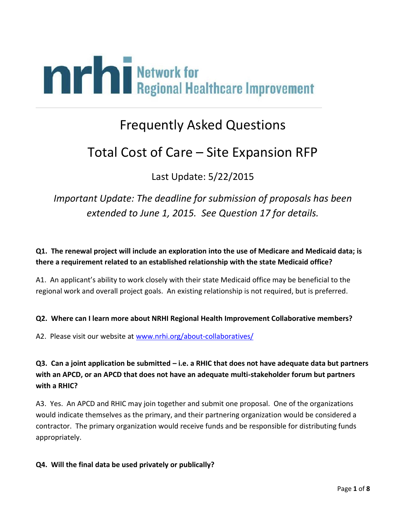

# Frequently Asked Questions

# Total Cost of Care – Site Expansion RFP

Last Update: 5/22/2015

*Important Update: The deadline for submission of proposals has been extended to June 1, 2015. See Question 17 for details.*

## **Q1. The renewal project will include an exploration into the use of Medicare and Medicaid data; is there a requirement related to an established relationship with the state Medicaid office?**

A1. An applicant's ability to work closely with their state Medicaid office may be beneficial to the regional work and overall project goals. An existing relationship is not required, but is preferred.

#### **Q2. Where can I learn more about NRHI Regional Health Improvement Collaborative members?**

A2. Please visit our website at [www.nrhi.org/about-collaboratives/](http://www.nrhi.org/about-collaboratives/)

# **Q3. Can a joint application be submitted – i.e. a RHIC that does not have adequate data but partners with an APCD, or an APCD that does not have an adequate multi-stakeholder forum but partners with a RHIC?**

A3. Yes. An APCD and RHIC may join together and submit one proposal. One of the organizations would indicate themselves as the primary, and their partnering organization would be considered a contractor. The primary organization would receive funds and be responsible for distributing funds appropriately.

#### **Q4. Will the final data be used privately or publically?**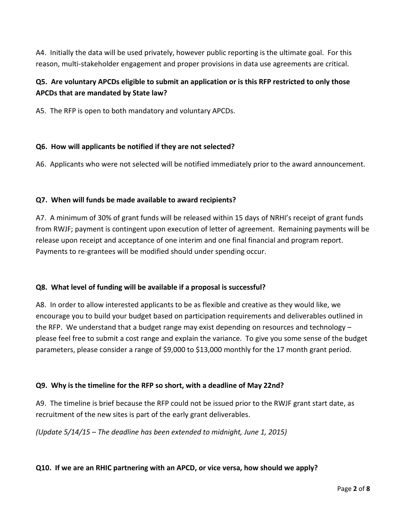A4. Initially the data will be used privately, however public reporting is the ultimate goal. For this reason, multi-stakeholder engagement and proper provisions in data use agreements are critical.

# **Q5. Are voluntary APCDs eligible to submit an application or is this RFP restricted to only those APCDs that are mandated by State law?**

A5. The RFP is open to both mandatory and voluntary APCDs.

#### **Q6. How will applicants be notified if they are not selected?**

A6. Applicants who were not selected will be notified immediately prior to the award announcement.

#### **Q7. When will funds be made available to award recipients?**

A7. A minimum of 30% of grant funds will be released within 15 days of NRHI's receipt of grant funds from RWJF; payment is contingent upon execution of letter of agreement. Remaining payments will be release upon receipt and acceptance of one interim and one final financial and program report. Payments to re-grantees will be modified should under spending occur.

#### **Q8. What level of funding will be available if a proposal is successful?**

A8. In order to allow interested applicants to be as flexible and creative as they would like, we encourage you to build your budget based on participation requirements and deliverables outlined in the RFP. We understand that a budget range may exist depending on resources and technology – please feel free to submit a cost range and explain the variance. To give you some sense of the budget parameters, please consider a range of \$9,000 to \$13,000 monthly for the 17 month grant period.

#### **Q9. Why is the timeline for the RFP so short, with a deadline of May 22nd?**

A9. The timeline is brief because the RFP could not be issued prior to the RWJF grant start date, as recruitment of the new sites is part of the early grant deliverables.

*(Update 5/14/15 – The deadline has been extended to midnight, June 1, 2015)*

#### **Q10. If we are an RHIC partnering with an APCD, or vice versa, how should we apply?**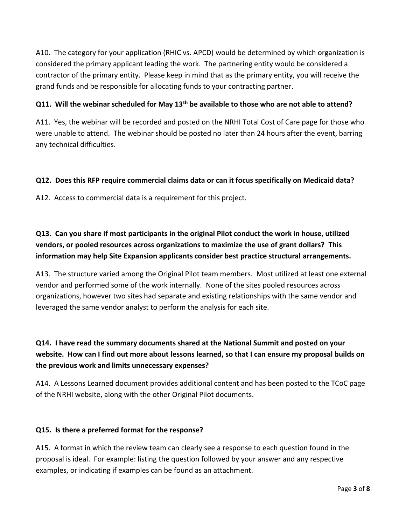A10. The category for your application (RHIC vs. APCD) would be determined by which organization is considered the primary applicant leading the work. The partnering entity would be considered a contractor of the primary entity. Please keep in mind that as the primary entity, you will receive the grand funds and be responsible for allocating funds to your contracting partner.

#### **Q11. Will the webinar scheduled for May 13th be available to those who are not able to attend?**

A11. Yes, the webinar will be recorded and posted on the NRHI Total Cost of Care page for those who were unable to attend. The webinar should be posted no later than 24 hours after the event, barring any technical difficulties.

#### **Q12. Does this RFP require commercial claims data or can it focus specifically on Medicaid data?**

A12. Access to commercial data is a requirement for this project.

# **Q13. Can you share if most participants in the original Pilot conduct the work in house, utilized vendors, or pooled resources across organizations to maximize the use of grant dollars? This information may help Site Expansion applicants consider best practice structural arrangements.**

A13. The structure varied among the Original Pilot team members. Most utilized at least one external vendor and performed some of the work internally. None of the sites pooled resources across organizations, however two sites had separate and existing relationships with the same vendor and leveraged the same vendor analyst to perform the analysis for each site.

# **Q14. I have read the summary documents shared at the National Summit and posted on your website. How can I find out more about lessons learned, so that I can ensure my proposal builds on the previous work and limits unnecessary expenses?**

A14. A Lessons Learned document provides additional content and has been posted to the TCoC page of the NRHI website, along with the other Original Pilot documents.

#### **Q15. Is there a preferred format for the response?**

A15. A format in which the review team can clearly see a response to each question found in the proposal is ideal. For example: listing the question followed by your answer and any respective examples, or indicating if examples can be found as an attachment.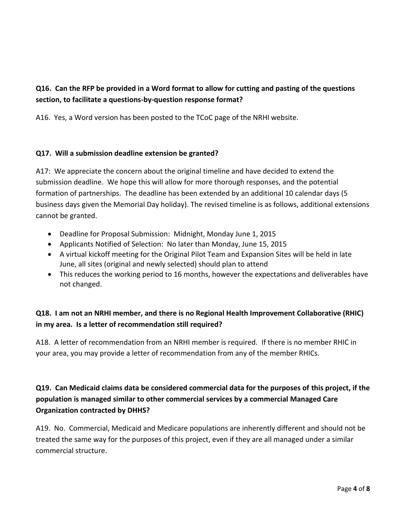# **Q16. Can the RFP be provided in a Word format to allow for cutting and pasting of the questions section, to facilitate a questions-by-question response format?**

A16. Yes, a Word version has been posted to the TCoC page of the NRHI website.

#### **Q17. Will a submission deadline extension be granted?**

A17: We appreciate the concern about the original timeline and have decided to extend the submission deadline. We hope this will allow for more thorough responses, and the potential formation of partnerships. The deadline has been extended by an additional 10 calendar days (5 business days given the Memorial Day holiday). The revised timeline is as follows, additional extensions cannot be granted.

- Deadline for Proposal Submission: Midnight, Monday June 1, 2015
- Applicants Notified of Selection: No later than Monday, June 15, 2015
- A virtual kickoff meeting for the Original Pilot Team and Expansion Sites will be held in late June, all sites (original and newly selected) should plan to attend
- This reduces the working period to 16 months, however the expectations and deliverables have not changed.

## **Q18. I am not an NRHI member, and there is no Regional Health Improvement Collaborative (RHIC) in my area. Is a letter of recommendation still required?**

A18. A letter of recommendation from an NRHI member is required. If there is no member RHIC in your area, you may provide a letter of recommendation from any of the member RHICs.

# **Q19. Can Medicaid claims data be considered commercial data for the purposes of this project, if the population is managed similar to other commercial services by a commercial Managed Care Organization contracted by DHHS?**

A19. No. Commercial, Medicaid and Medicare populations are inherently different and should not be treated the same way for the purposes of this project, even if they are all managed under a similar commercial structure.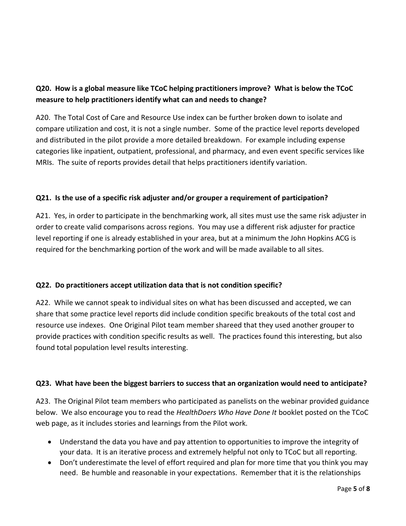# **Q20. How is a global measure like TCoC helping practitioners improve? What is below the TCoC measure to help practitioners identify what can and needs to change?**

A20. The Total Cost of Care and Resource Use index can be further broken down to isolate and compare utilization and cost, it is not a single number. Some of the practice level reports developed and distributed in the pilot provide a more detailed breakdown. For example including expense categories like inpatient, outpatient, professional, and pharmacy, and even event specific services like MRIs. The suite of reports provides detail that helps practitioners identify variation.

#### **Q21. Is the use of a specific risk adjuster and/or grouper a requirement of participation?**

A21. Yes, in order to participate in the benchmarking work, all sites must use the same risk adjuster in order to create valid comparisons across regions. You may use a different risk adjuster for practice level reporting if one is already established in your area, but at a minimum the John Hopkins ACG is required for the benchmarking portion of the work and will be made available to all sites.

#### **Q22. Do practitioners accept utilization data that is not condition specific?**

A22. While we cannot speak to individual sites on what has been discussed and accepted, we can share that some practice level reports did include condition specific breakouts of the total cost and resource use indexes. One Original Pilot team member shareed that they used another grouper to provide practices with condition specific results as well. The practices found this interesting, but also found total population level results interesting.

#### **Q23. What have been the biggest barriers to success that an organization would need to anticipate?**

A23. The Original Pilot team members who participated as panelists on the webinar provided guidance below. We also encourage you to read the *HealthDoers Who Have Done It* booklet posted on the TCoC web page, as it includes stories and learnings from the Pilot work.

- Understand the data you have and pay attention to opportunities to improve the integrity of your data. It is an iterative process and extremely helpful not only to TCoC but all reporting.
- Don't underestimate the level of effort required and plan for more time that you think you may need. Be humble and reasonable in your expectations. Remember that it is the relationships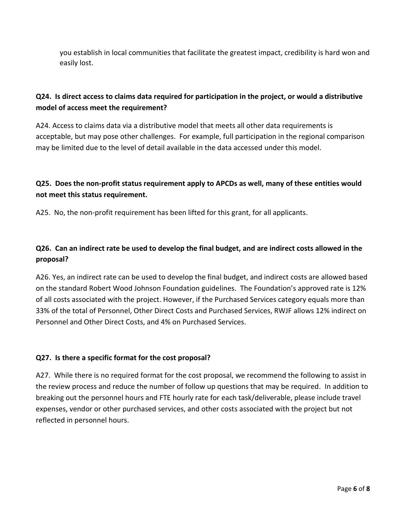you establish in local communities that facilitate the greatest impact, credibility is hard won and easily lost.

## **Q24. Is direct access to claims data required for participation in the project, or would a distributive model of access meet the requirement?**

A24. Access to claims data via a distributive model that meets all other data requirements is acceptable, but may pose other challenges. For example, full participation in the regional comparison may be limited due to the level of detail available in the data accessed under this model.

## **Q25. Does the non-profit status requirement apply to APCDs as well, many of these entities would not meet this status requirement.**

A25. No, the non-profit requirement has been lifted for this grant, for all applicants.

# **Q26. Can an indirect rate be used to develop the final budget, and are indirect costs allowed in the proposal?**

A26. Yes, an indirect rate can be used to develop the final budget, and indirect costs are allowed based on the standard Robert Wood Johnson Foundation guidelines. The Foundation's approved rate is 12% of all costs associated with the project. However, if the Purchased Services category equals more than 33% of the total of Personnel, Other Direct Costs and Purchased Services, RWJF allows 12% indirect on Personnel and Other Direct Costs, and 4% on Purchased Services.

#### **Q27. Is there a specific format for the cost proposal?**

A27. While there is no required format for the cost proposal, we recommend the following to assist in the review process and reduce the number of follow up questions that may be required. In addition to breaking out the personnel hours and FTE hourly rate for each task/deliverable, please include travel expenses, vendor or other purchased services, and other costs associated with the project but not reflected in personnel hours.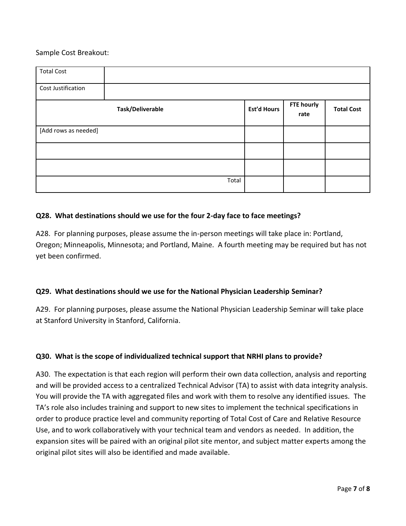#### Sample Cost Breakout:

| <b>Total Cost</b>    |       |                    |                           |                   |
|----------------------|-------|--------------------|---------------------------|-------------------|
| Cost Justification   |       |                    |                           |                   |
| Task/Deliverable     |       | <b>Est'd Hours</b> | <b>FTE hourly</b><br>rate | <b>Total Cost</b> |
| [Add rows as needed] |       |                    |                           |                   |
|                      |       |                    |                           |                   |
|                      |       |                    |                           |                   |
|                      | Total |                    |                           |                   |

#### **Q28. What destinations should we use for the four 2-day face to face meetings?**

A28. For planning purposes, please assume the in-person meetings will take place in: Portland, Oregon; Minneapolis, Minnesota; and Portland, Maine. A fourth meeting may be required but has not yet been confirmed.

#### **Q29. What destinations should we use for the National Physician Leadership Seminar?**

A29. For planning purposes, please assume the National Physician Leadership Seminar will take place at Stanford University in Stanford, California.

#### **Q30. What is the scope of individualized technical support that NRHI plans to provide?**

A30. The expectation is that each region will perform their own data collection, analysis and reporting and will be provided access to a centralized Technical Advisor (TA) to assist with data integrity analysis. You will provide the TA with aggregated files and work with them to resolve any identified issues. The TA's role also includes training and support to new sites to implement the technical specifications in order to produce practice level and community reporting of Total Cost of Care and Relative Resource Use, and to work collaboratively with your technical team and vendors as needed. In addition, the expansion sites will be paired with an original pilot site mentor, and subject matter experts among the original pilot sites will also be identified and made available.